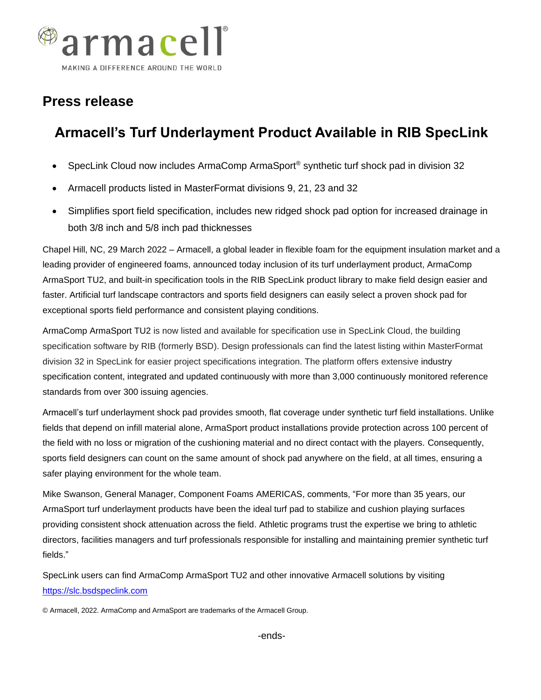

## **Press release**

## **Armacell's Turf Underlayment Product Available in RIB SpecLink**

- SpecLink Cloud now includes ArmaComp ArmaSport<sup>®</sup> synthetic turf shock pad in division 32
- Armacell products listed in MasterFormat divisions 9, 21, 23 and 32
- Simplifies sport field specification, includes new ridged shock pad option for increased drainage in both 3/8 inch and 5/8 inch pad thicknesses

Chapel Hill, NC, 29 March 2022 – Armacell, a global leader in flexible foam for the equipment insulation market and a leading provider of engineered foams, announced today inclusion of its turf underlayment product, ArmaComp ArmaSport TU2, and built-in specification tools in the RIB SpecLink product library to make field design easier and faster. Artificial turf landscape contractors and sports field designers can easily select a proven shock pad for exceptional sports field performance and consistent playing conditions.

ArmaComp ArmaSport TU2 is now listed and available for specification use in SpecLink Cloud, the building specification software by RIB (formerly BSD). Design professionals can find the latest listing within MasterFormat division 32 in SpecLink for easier project specifications integration. The platform offers extensive industry specification content, integrated and updated continuously with more than 3,000 continuously monitored reference standards from over 300 issuing agencies.

Armacell's turf underlayment shock pad provides smooth, flat coverage under synthetic turf field installations. Unlike fields that depend on infill material alone, ArmaSport product installations provide protection across 100 percent of the field with no loss or migration of the cushioning material and no direct contact with the players. Consequently, sports field designers can count on the same amount of shock pad anywhere on the field, at all times, ensuring a safer playing environment for the whole team.

Mike Swanson, General Manager, Component Foams AMERICAS, comments, "For more than 35 years, our ArmaSport turf underlayment products have been the ideal turf pad to stabilize and cushion playing surfaces providing consistent shock attenuation across the field. Athletic programs trust the expertise we bring to athletic directors, facilities managers and turf professionals responsible for installing and maintaining premier synthetic turf fields."

SpecLink users can find ArmaComp ArmaSport TU2 and other innovative Armacell solutions by visiting [https://slc.bsdspeclink.com](https://slc.bsdspeclink.com/)

© Armacell, 2022. ArmaComp and ArmaSport are trademarks of the Armacell Group.